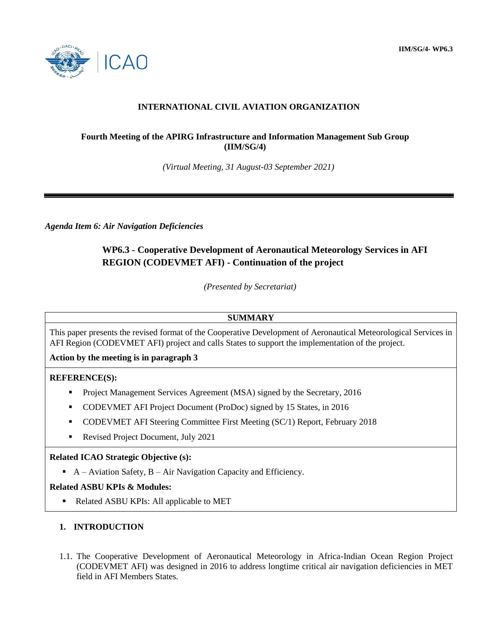**IIM/SG/4- WP6.3**



# **INTERNATIONAL CIVIL AVIATION ORGANIZATION**

### **Fourth Meeting of the APIRG Infrastructure and Information Management Sub Group (IIM/SG/4)**

*(Virtual Meeting, 31 August-03 September 2021)*

*Agenda Item 6: Air Navigation Deficiencies*

# **WP6.3 - Cooperative Development of Aeronautical Meteorology Services in AFI REGION (CODEVMET AFI) - Continuation of the project**

*(Presented by Secretariat)*

### **SUMMARY**

This paper presents the revised format of the Cooperative Development of Aeronautical Meteorological Services in AFI Region (CODEVMET AFI) project and calls States to support the implementation of the project.

**Action by the meeting is in paragraph 3**

### **REFERENCE(S):**

- Project Management Services Agreement (MSA) signed by the Secretary, 2016
- CODEVMET AFI Project Document (ProDoc) signed by 15 States, in 2016
- CODEVMET AFI Steering Committee First Meeting (SC/1) Report, February 2018
- Revised Project Document, July 2021

#### **Related ICAO Strategic Objective (s):**

A – Aviation Safety,  $B$  – Air Navigation Capacity and Efficiency.

#### **Related ASBU KPIs & Modules:**

Related ASBU KPIs: All applicable to MET

### **1. INTRODUCTION**

1.1. The Cooperative Development of Aeronautical Meteorology in Africa-Indian Ocean Region Project (CODEVMET AFI) was designed in 2016 to address longtime critical air navigation deficiencies in MET field in AFI Members States.